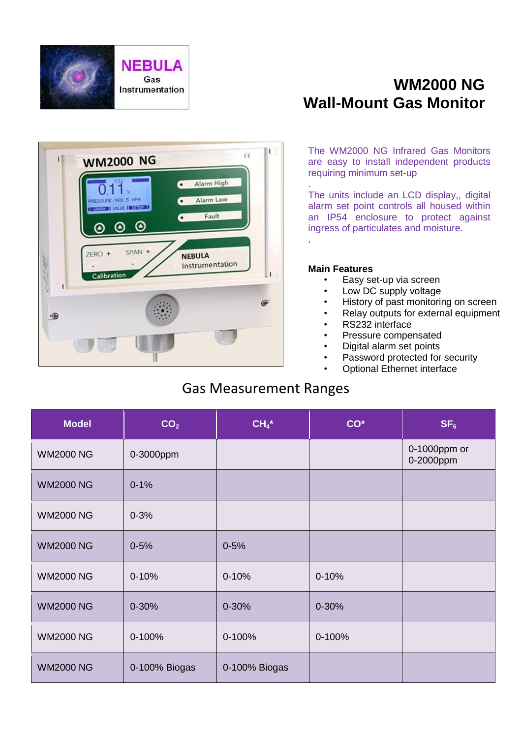

# **WM2000 NG Wall-Mount Gas Monitor**



The WM2000 NG Infrared Gas Monitors are easy to install independent products requiring minimum set-up

The units include an LCD display,, digital alarm set point controls all housed within an IP54 enclosure to protect against ingress of particulates and moisture. .

#### **Main Features**

.

- Easy set-up via screen
- Low DC supply voltage
- History of past monitoring on screen
- Relay outputs for external equipment
- RS232 interface
- Pressure compensated
- Digital alarm set points
- Password protected for security
- **Optional Ethernet interface**

### Gas Measurement Ranges

| <b>Model</b>     | CO <sub>2</sub> | $CH4*$        | $CO*$     | SF <sub>6</sub>           |
|------------------|-----------------|---------------|-----------|---------------------------|
| <b>WM2000 NG</b> | 0-3000ppm       |               |           | 0-1000ppm or<br>0-2000ppm |
| <b>WM2000 NG</b> | $0 - 1%$        |               |           |                           |
| <b>WM2000 NG</b> | $0 - 3%$        |               |           |                           |
| <b>WM2000 NG</b> | $0 - 5%$        | $0 - 5%$      |           |                           |
| <b>WM2000 NG</b> | $0 - 10%$       | $0 - 10%$     | $0 - 10%$ |                           |
| <b>WM2000 NG</b> | $0 - 30%$       | 0-30%         | $0 - 30%$ |                           |
| <b>WM2000 NG</b> | 0-100%          | 0-100%        | 0-100%    |                           |
| <b>WM2000 NG</b> | 0-100% Biogas   | 0-100% Biogas |           |                           |